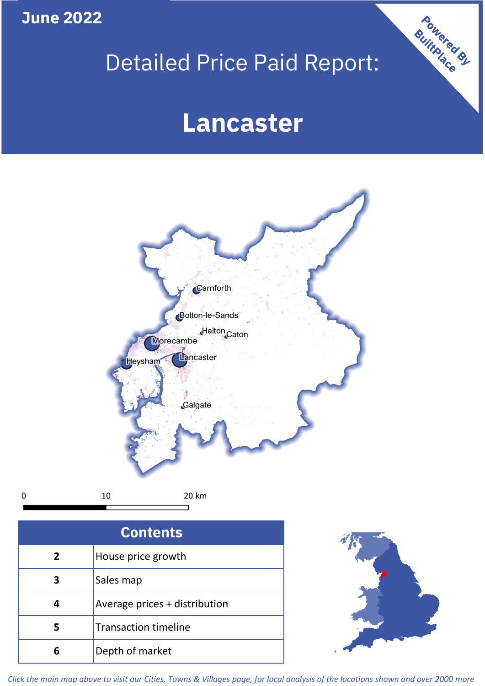**June 2022**

 $\mathbf 0$ 

# Detailed Price Paid Report:

# **Lancaster**



| <b>Contents</b> |                               |  |  |
|-----------------|-------------------------------|--|--|
| $\overline{2}$  | House price growth            |  |  |
| 3               | Sales map                     |  |  |
| 4               | Average prices + distribution |  |  |
| 5               | <b>Transaction timeline</b>   |  |  |
|                 | Depth of market               |  |  |



Powered By

*Click the main map above to visit our Cities, Towns & Villages page, for local analysis of the locations shown and over 2000 more*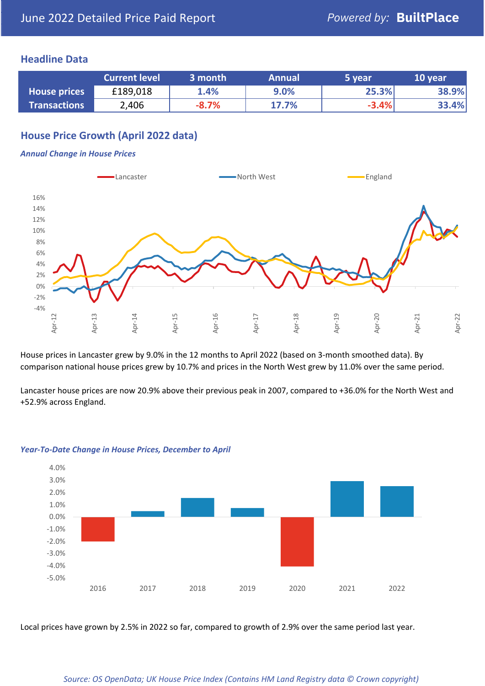### **Headline Data**

|                     | <b>Current level</b> | 3 month | <b>Annual</b> | 5 year  | 10 year |
|---------------------|----------------------|---------|---------------|---------|---------|
| <b>House prices</b> | £189,018             | 1.4%    | 9.0%          | 25.3%   | 38.9%   |
| <b>Transactions</b> | 2,406                | $-8.7%$ | 17.7%         | $-3.4%$ | 33.4%   |

# **House Price Growth (April 2022 data)**

#### *Annual Change in House Prices*



House prices in Lancaster grew by 9.0% in the 12 months to April 2022 (based on 3-month smoothed data). By comparison national house prices grew by 10.7% and prices in the North West grew by 11.0% over the same period.

Lancaster house prices are now 20.9% above their previous peak in 2007, compared to +36.0% for the North West and +52.9% across England.



#### *Year-To-Date Change in House Prices, December to April*

Local prices have grown by 2.5% in 2022 so far, compared to growth of 2.9% over the same period last year.

#### *Source: OS OpenData; UK House Price Index (Contains HM Land Registry data © Crown copyright)*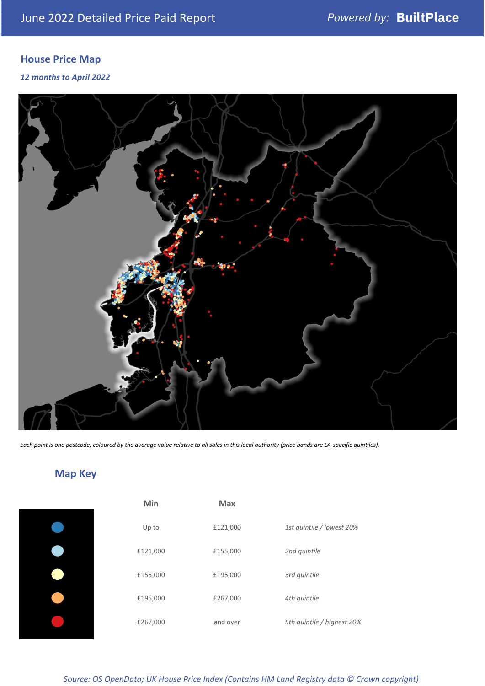# **House Price Map**

*12 months to April 2022*



*Each point is one postcode, coloured by the average value relative to all sales in this local authority (price bands are LA-specific quintiles).*

# **Map Key**

| 1st quintile / lowest 20%  |
|----------------------------|
|                            |
|                            |
|                            |
| 5th quintile / highest 20% |
|                            |

*Source: OS OpenData; UK House Price Index (Contains HM Land Registry data © Crown copyright)*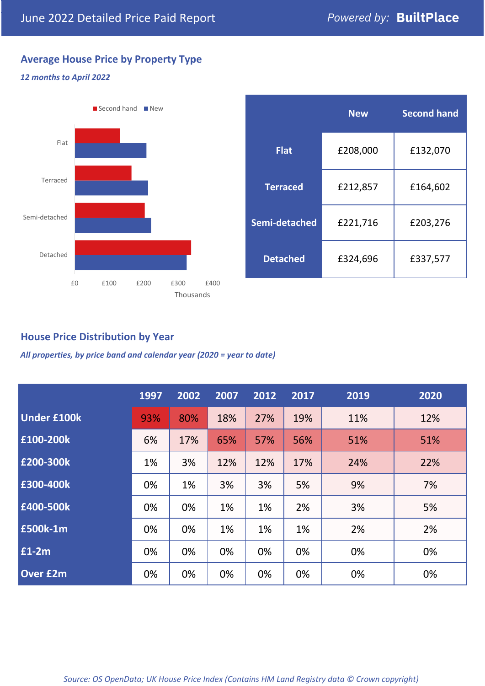# **Average House Price by Property Type**

### *12 months to April 2022*



|                 | <b>New</b> | <b>Second hand</b> |  |  |
|-----------------|------------|--------------------|--|--|
| <b>Flat</b>     | £208,000   | £132,070           |  |  |
| <b>Terraced</b> | £212,857   | £164,602           |  |  |
| Semi-detached   | £221,716   | £203,276           |  |  |
| <b>Detached</b> | £324,696   | £337,577           |  |  |

## **House Price Distribution by Year**

*All properties, by price band and calendar year (2020 = year to date)*

|                    | 1997 | 2002 | 2007 | 2012 | 2017 | 2019 | 2020 |
|--------------------|------|------|------|------|------|------|------|
| <b>Under £100k</b> | 93%  | 80%  | 18%  | 27%  | 19%  | 11%  | 12%  |
| £100-200k          | 6%   | 17%  | 65%  | 57%  | 56%  | 51%  | 51%  |
| E200-300k          | 1%   | 3%   | 12%  | 12%  | 17%  | 24%  | 22%  |
| £300-400k          | 0%   | 1%   | 3%   | 3%   | 5%   | 9%   | 7%   |
| £400-500k          | 0%   | 0%   | 1%   | 1%   | 2%   | 3%   | 5%   |
| £500k-1m           | 0%   | 0%   | 1%   | 1%   | 1%   | 2%   | 2%   |
| £1-2m              | 0%   | 0%   | 0%   | 0%   | 0%   | 0%   | 0%   |
| <b>Over £2m</b>    | 0%   | 0%   | 0%   | 0%   | 0%   | 0%   | 0%   |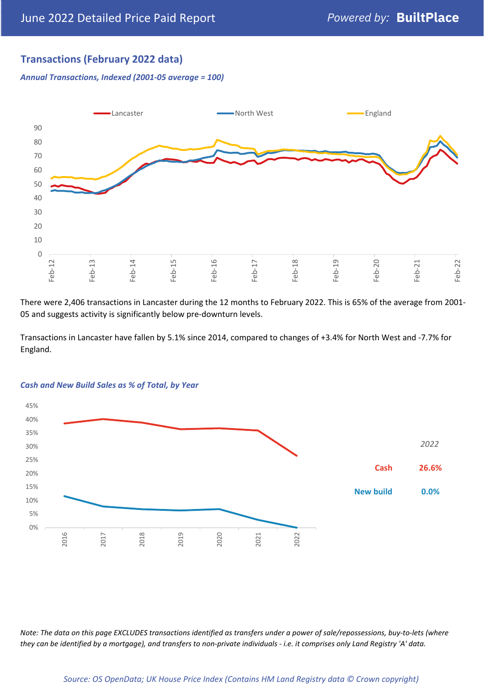# **Transactions (February 2022 data)**

*Annual Transactions, Indexed (2001-05 average = 100)*



There were 2,406 transactions in Lancaster during the 12 months to February 2022. This is 65% of the average from 2001- 05 and suggests activity is significantly below pre-downturn levels.

Transactions in Lancaster have fallen by 5.1% since 2014, compared to changes of +3.4% for North West and -7.7% for England.



#### *Cash and New Build Sales as % of Total, by Year*

*Note: The data on this page EXCLUDES transactions identified as transfers under a power of sale/repossessions, buy-to-lets (where they can be identified by a mortgage), and transfers to non-private individuals - i.e. it comprises only Land Registry 'A' data.*